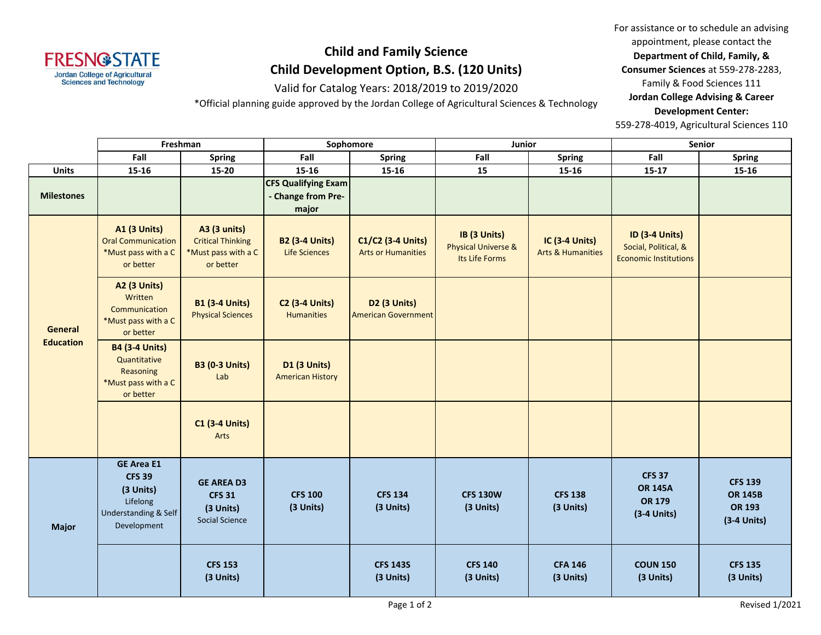

## **Child and Family Science Child Development Option, B.S. (120 Units)**

Valid for Catalog Years: 2018/2019 to 2019/2020

\*Official planning guide approved by the Jordan College of Agricultural Sciences & Technology

For assistance or to schedule an advising appointment, please contact the **Department of Child, Family, & Consumer Sciences** at 559-278-2283, Family & Food Sciences 111 **Jordan College Advising & Career Development Center:**

559-278-4019, Agricultural Sciences 110

|                                    | Freshman                                                                                                      |                                                                                     | Sophomore                                                 |                                                | Junior                                                           |                                                       | Senior                                                                        |                                                             |
|------------------------------------|---------------------------------------------------------------------------------------------------------------|-------------------------------------------------------------------------------------|-----------------------------------------------------------|------------------------------------------------|------------------------------------------------------------------|-------------------------------------------------------|-------------------------------------------------------------------------------|-------------------------------------------------------------|
|                                    | Fall                                                                                                          | <b>Spring</b>                                                                       | Fall                                                      | <b>Spring</b>                                  | Fall                                                             | Spring                                                | Fall                                                                          | <b>Spring</b>                                               |
| Units                              | 15-16                                                                                                         | 15-20                                                                               | $15 - 16$                                                 | 15-16                                          | 15                                                               | 15-16                                                 | $15 - 17$                                                                     | 15-16                                                       |
| <b>Milestones</b>                  |                                                                                                               |                                                                                     | <b>CFS Qualifying Exam</b><br>- Change from Pre-<br>major |                                                |                                                                  |                                                       |                                                                               |                                                             |
| <b>General</b><br><b>Education</b> | <b>A1 (3 Units)</b><br><b>Oral Communication</b><br>*Must pass with a C<br>or better                          | <b>A3 (3 units)</b><br><b>Critical Thinking</b><br>*Must pass with a C<br>or better | <b>B2 (3-4 Units)</b><br><b>Life Sciences</b>             | C1/C2 (3-4 Units)<br><b>Arts or Humanities</b> | IB (3 Units)<br><b>Physical Universe &amp;</b><br>Its Life Forms | <b>IC (3-4 Units)</b><br><b>Arts &amp; Humanities</b> | <b>ID (3-4 Units)</b><br>Social, Political, &<br><b>Economic Institutions</b> |                                                             |
|                                    | <b>A2 (3 Units)</b><br>Written<br>Communication<br>*Must pass with a C<br>or better                           | <b>B1 (3-4 Units)</b><br><b>Physical Sciences</b>                                   | <b>C2 (3-4 Units)</b><br><b>Humanities</b>                | D2 (3 Units)<br><b>American Government</b>     |                                                                  |                                                       |                                                                               |                                                             |
|                                    | <b>B4 (3-4 Units)</b><br>Quantitative<br>Reasoning<br>*Must pass with a C<br>or better                        | <b>B3 (0-3 Units)</b><br>Lab                                                        | <b>D1 (3 Units)</b><br><b>American History</b>            |                                                |                                                                  |                                                       |                                                                               |                                                             |
|                                    |                                                                                                               | <b>C1 (3-4 Units)</b><br>Arts                                                       |                                                           |                                                |                                                                  |                                                       |                                                                               |                                                             |
| <b>Major</b>                       | <b>GE Area E1</b><br><b>CFS 39</b><br>(3 Units)<br>Lifelong<br><b>Understanding &amp; Self</b><br>Development | <b>GE AREA D3</b><br><b>CFS 31</b><br>(3 Units)<br><b>Social Science</b>            | <b>CFS 100</b><br>(3 Units)                               | <b>CFS 134</b><br>(3 Units)                    | <b>CFS 130W</b><br>(3 Units)                                     | <b>CFS 138</b><br>(3 Units)                           | <b>CFS 37</b><br><b>OR 145A</b><br>OR 179<br>(3-4 Units)                      | <b>CFS 139</b><br><b>OR 145B</b><br>OR 193<br>$(3-4$ Units) |
|                                    |                                                                                                               | <b>CFS 153</b><br>(3 Units)                                                         |                                                           | <b>CFS 143S</b><br>(3 Units)                   | <b>CFS 140</b><br>(3 Units)                                      | <b>CFA 146</b><br>(3 Units)                           | <b>COUN 150</b><br>(3 Units)                                                  | <b>CFS 135</b><br>(3 Units)                                 |